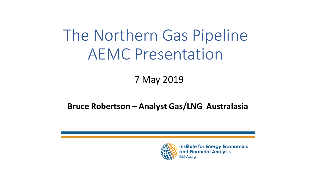# The Northern Gas Pipeline AEMC Presentation

#### 7 May 2019

#### **Bruce Robertson – Analyst Gas/LNG Australasia**



**Institute for Energy Economics** and Financial Analysis **EEFA.org**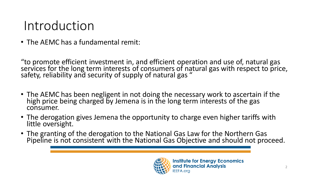### Introduction

• The AEMC has a fundamental remit:

"to promote efficient investment in, and efficient operation and use of, natural gas services for the long term interests of consumers of natural gas with respect to price, safety, reliability and security of supply of natural gas "

- The AEMC has been negligent in not doing the necessary work to ascertain if the high price being charged by Jemena is in the long term interests of the gas consumer.
- The derogation gives Jemena the opportunity to charge even higher tariffs with little oversight.
- The granting of the derogation to the National Gas Law for the Northern Gas Pipeline is not consistent with the National Gas Objective and should not proceed.

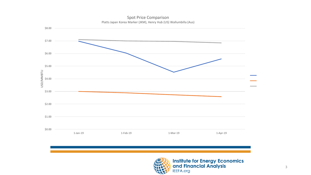

Spot Price Comparison Platts Japan Korea Marker (JKM), Henry Hub (US) Wallumbilla (Aus)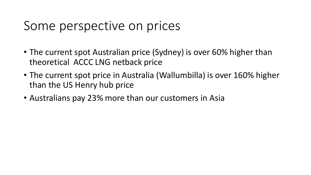#### Some perspective on prices

- The current spot Australian price (Sydney) is over 60% higher than theoretical ACCC LNG netback price
- The current spot price in Australia (Wallumbilla) is over 160% higher than the US Henry hub price
- Australians pay 23% more than our customers in Asia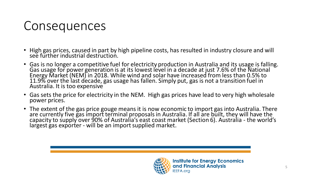#### Consequences

- High gas prices, caused in part by high pipeline costs, has resulted in industry closure and will see further industrial destruction.
- Gas is no longer a competitive fuel for electricity production in Australia and its usage is falling. Gas usage for power generation is at its lowest level in a decade at just 7.6% of the National Energy Market (NEM) in 2018. While wind and solar have increased from less than 0.5% to 11.9% over the last decade, gas usage has fallen. Simply put, gas is not a transition fuel in Australia. It is too expensive
- Gas sets the price for electricity in the NEM. High gas prices have lead to very high wholesale power prices.
- The extent of the gas price gouge means it is now economic to import gas into Australia. There are currently five gas import terminal proposals in Australia. If all are built, they will have the capacity to supply over 90% of Australia's east coast market (Section 6). Australia - the world's largest gas exporter - will be an import supplied market.

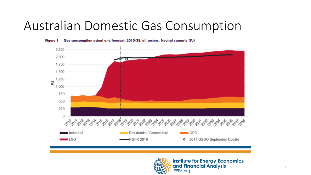#### Australian Domestic Gas Consumption



Gas consumption actual and forecast, 2010-38, all sectors, Neutral scenario (PJ) **Figure 1** 



**Institute for Energy Economics** and Financial Analysis **IEEFA.org**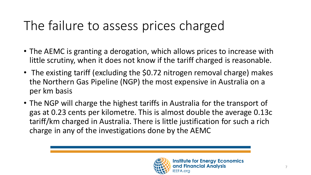# The failure to assess prices charged

- The AEMC is granting a derogation, which allows prices to increase with little scrutiny, when it does not know if the tariff charged is reasonable.
- The existing tariff (excluding the \$0.72 nitrogen removal charge) makes the Northern Gas Pipeline (NGP) the most expensive in Australia on a per km basis
- The NGP will charge the highest tariffs in Australia for the transport of gas at 0.23 cents per kilometre. This is almost double the average 0.13c tariff/km charged in Australia. There is little justification for such a rich charge in any of the investigations done by the AEMC

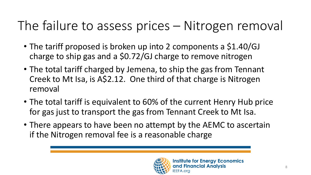# The failure to assess prices – Nitrogen removal

- The tariff proposed is broken up into 2 components a \$1.40/GJ charge to ship gas and a \$0.72/GJ charge to remove nitrogen
- The total tariff charged by Jemena, to ship the gas from Tennant Creek to Mt Isa, is A\$2.12. One third of that charge is Nitrogen removal
- The total tariff is equivalent to 60% of the current Henry Hub price for gas just to transport the gas from Tennant Creek to Mt Isa.
- There appears to have been no attempt by the AEMC to ascertain if the Nitrogen removal fee is a reasonable charge

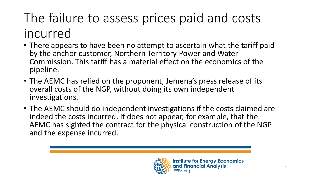# The failure to assess prices paid and costs incurred

- There appears to have been no attempt to ascertain what the tariff paid by the anchor customer, Northern Territory Power and Water Commission. This tariff has a material effect on the economics of the pipeline.
- The AEMC has relied on the proponent, Jemena's press release of its overall costs of the NGP, without doing its own independent investigations.
- The AEMC should do independent investigations if the costs claimed are indeed the costs incurred. It does not appear, for example, that the AEMC has sighted the contract for the physical construction of the NGP and the expense incurred.

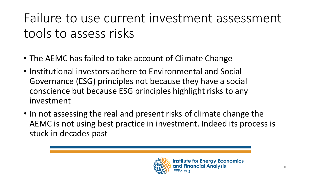Failure to use current investment assessment tools to assess risks

- The AEMC has failed to take account of Climate Change
- Institutional investors adhere to Environmental and Social Governance (ESG) principles not because they have a social conscience but because ESG principles highlight risks to any investment
- In not assessing the real and present risks of climate change the AEMC is not using best practice in investment. Indeed its process is stuck in decades past

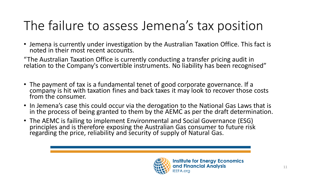# The failure to assess Jemena's tax position

• Jemena is currently under investigation by the Australian Taxation Office. This fact is noted in their most recent accounts.

"The Australian Taxation Office is currently conducting a transfer pricing audit in relation to the Company's convertible instruments. No liability has been recognised"

- The payment of tax is a fundamental tenet of good corporate governance. If a company is hit with taxation fines and back taxes it may look to recover those costs from the consumer.
- In Jemena's case this could occur via the derogation to the National Gas Laws that is in the process of being granted to them by the AEMC as per the draft determination.
- The AEMC is failing to implement Environmental and Social Governance (ESG) principles and is therefore exposing the Australian Gas consumer to future risk regarding the price, reliability and security of supply of Natural Gas.